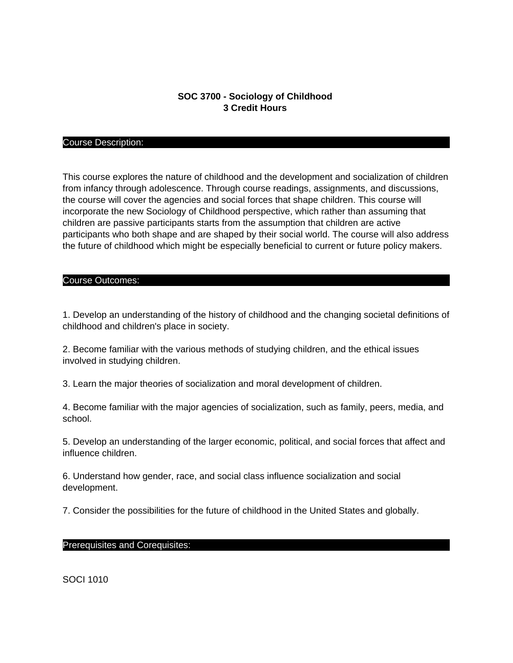# **SOC 3700 - Sociology of Childhood 3 Credit Hours**

#### Course Description:

This course explores the nature of childhood and the development and socialization of children from infancy through adolescence. Through course readings, assignments, and discussions, the course will cover the agencies and social forces that shape children. This course will incorporate the new Sociology of Childhood perspective, which rather than assuming that children are passive participants starts from the assumption that children are active participants who both shape and are shaped by their social world. The course will also address the future of childhood which might be especially beneficial to current or future policy makers.

# Course Outcomes:

1. Develop an understanding of the history of childhood and the changing societal definitions of childhood and children's place in society.

2. Become familiar with the various methods of studying children, and the ethical issues involved in studying children.

3. Learn the major theories of socialization and moral development of children.

4. Become familiar with the major agencies of socialization, such as family, peers, media, and school.

5. Develop an understanding of the larger economic, political, and social forces that affect and influence children.

6. Understand how gender, race, and social class influence socialization and social development.

7. Consider the possibilities for the future of childhood in the United States and globally.

### Prerequisites and Corequisites:

SOCI 1010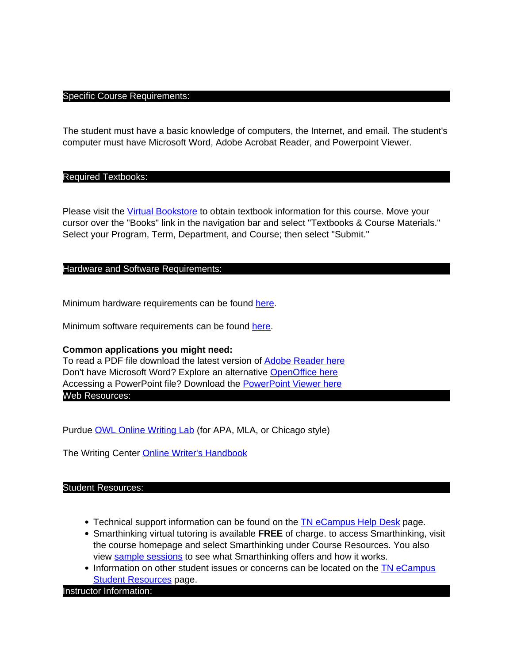### Specific Course Requirements:

The student must have a basic knowledge of computers, the Internet, and email. The student's computer must have Microsoft Word, Adobe Acrobat Reader, and Powerpoint Viewer.

### Required Textbooks:

Please visit the [Virtual Bookstore](http://www.bkstr.com/tnecampusstore/home/en) to obtain textbook information for this course. Move your cursor over the "Books" link in the navigation bar and select "Textbooks & Course Materials." Select your Program, Term, Department, and Course; then select "Submit."

### Hardware and Software Requirements:

Minimum hardware requirements can be found here.

Minimum software requirements can be found here.

# **Common applications you might need:**

To read a PDF file download the latest version of Adobe Reader here Don't have Microsoft Word? Explore an alternative OpenOffice here Accessing a PowerPoint file? Download the PowerPoint Viewer here Web Resources:

Purdue OWL Online Writing Lab (for APA, MLA, or Chicago style)

The Writing Center Online Writer's Handbook

### Student Resources:

- Technical support information can be found on the **TN** eCampus Help Desk page.
- Smarthinking virtual tutoring is available **FREE** of charge. to access Smarthinking, visit the course homepage and select Smarthinking under Course Resources. You also view sample sessions to see what Smarthinking offers and how it works.
- Information on other student issues or concerns can be located on the TN eCampus **Student Resources page.**

### Instructor Information: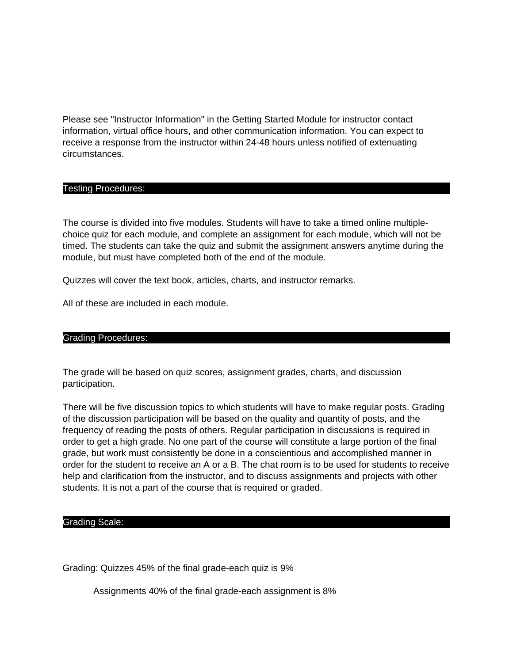Please see "Instructor Information" in the Getting Started Module for instructor contact information, virtual office hours, and other communication information. You can expect to receive a response from the instructor within 24-48 hours unless notified of extenuating circumstances.

# Testing Procedures:

The course is divided into five modules. Students will have to take a timed online multiplechoice quiz for each module, and complete an assignment for each module, which will not be timed. The students can take the quiz and submit the assignment answers anytime during the module, but must have completed both of the end of the module.

Quizzes will cover the text book, articles, charts, and instructor remarks.

All of these are included in each module.

# Grading Procedures:

The grade will be based on quiz scores, assignment grades, charts, and discussion participation.

There will be five discussion topics to which students will have to make regular posts. Grading of the discussion participation will be based on the quality and quantity of posts, and the frequency of reading the posts of others. Regular participation in discussions is required in order to get a high grade. No one part of the course will constitute a large portion of the final grade, but work must consistently be done in a conscientious and accomplished manner in order for the student to receive an A or a B. The chat room is to be used for students to receive help and clarification from the instructor, and to discuss assignments and projects with other students. It is not a part of the course that is required or graded.

# Grading Scale:

Grading: Quizzes 45% of the final grade-each quiz is 9%

Assignments 40% of the final grade-each assignment is 8%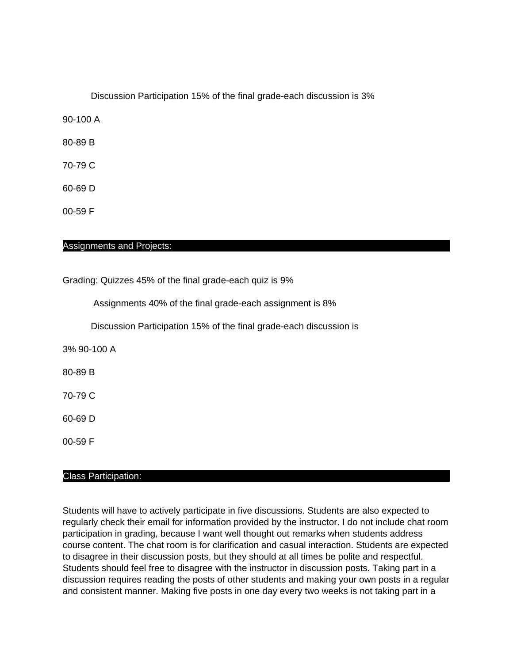Discussion Participation 15% of the final grade-each discussion is 3%

90-100 A

80-89 B

70-79 C

60-69 D

00-59 F

# Assignments and Projects:

Grading: Quizzes 45% of the final grade-each quiz is 9%

Assignments 40% of the final grade-each assignment is 8%

Discussion Participation 15% of the final grade-each discussion is

3% 90-100 A

80-89 B

70-79 C

60-69 D

00-59 F

### Class Participation:

Students will have to actively participate in five discussions. Students are also expected to regularly check their email for information provided by the instructor. I do not include chat room participation in grading, because I want well thought out remarks when students address course content. The chat room is for clarification and casual interaction. Students are expected to disagree in their discussion posts, but they should at all times be polite and respectful. Students should feel free to disagree with the instructor in discussion posts. Taking part in a discussion requires reading the posts of other students and making your own posts in a regular and consistent manner. Making five posts in one day every two weeks is not taking part in a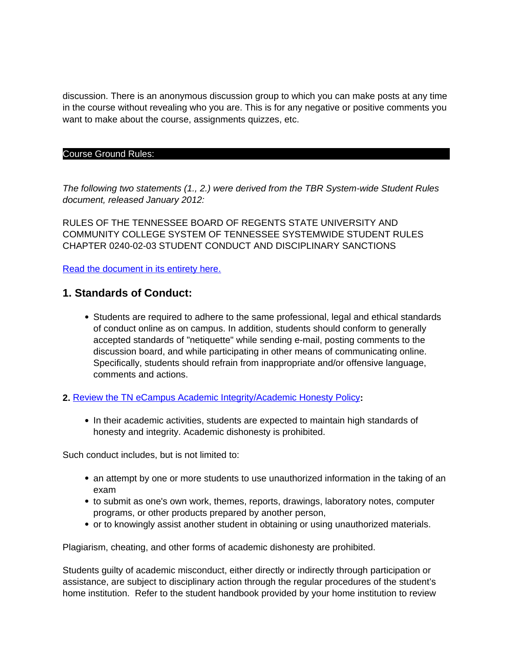discussion. There is an anonymous discussion group to which you can make posts at any time in the course without revealing who you are. This is for any negative or positive comments you want to make about the course, assignments quizzes, etc.

### Course Ground Rules:

The following two statements (1., 2.) were derived from the TBR System-wide Student Rules document, released January 2012:

RULES OF THE TENNESSEE BOARD OF REGENTS STATE UNIVERSITY AND COMMUNITY COLLEGE SYSTEM OF TENNESSEE SYSTEMWIDE STUDENT RULES CHAPTER 0240-02-03 STUDENT CONDUCT AND DISCIPLINARY SANCTIONS

Read the document in its entirety here.

# **1. Standards of Conduct:**

- Students are required to adhere to the same professional, legal and ethical standards of conduct online as on campus. In addition, students should conform to generally accepted standards of "netiquette" while sending e-mail, posting comments to the discussion board, and while participating in other means of communicating online. Specifically, students should refrain from inappropriate and/or offensive language, comments and actions.
- **2.** Review the TN eCampus Academic Integrity/Academic Honesty Policy**:**
	- In their academic activities, students are expected to maintain high standards of honesty and integrity. Academic dishonesty is prohibited.

Such conduct includes, but is not limited to:

- an attempt by one or more students to use unauthorized information in the taking of an exam
- to submit as one's own work, themes, reports, drawings, laboratory notes, computer programs, or other products prepared by another person,
- or to knowingly assist another student in obtaining or using unauthorized materials.

Plagiarism, cheating, and other forms of academic dishonesty are prohibited.

Students guilty of academic misconduct, either directly or indirectly through participation or assistance, are subject to disciplinary action through the regular procedures of the student's home institution. Refer to the student handbook provided by your home institution to review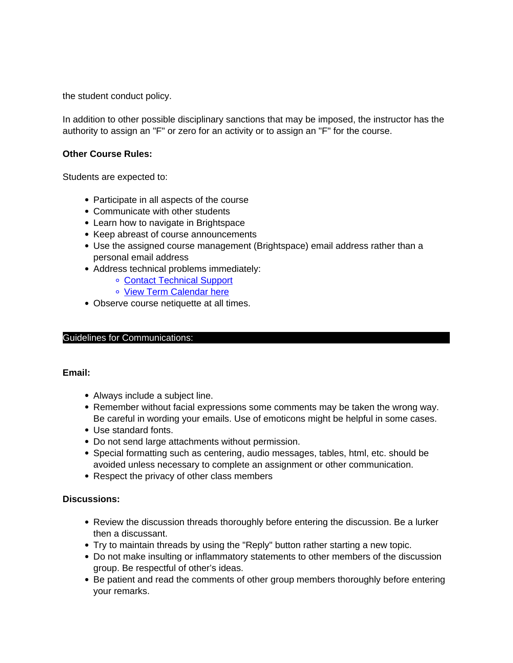the student conduct policy.

In addition to other possible disciplinary sanctions that may be imposed, the instructor has the authority to assign an "F" or zero for an activity or to assign an "F" for the course.

# **Other Course Rules:**

Students are expected to:

- Participate in all aspects of the course
- Communicate with other students
- Learn how to navigate in Brightspace
- Keep abreast of course announcements
- Use the assigned course management (Brightspace) email address rather than a personal email address
- Address technical problems immediately:
	- Contact Technical Support
	- o View Term Calendar here
- Observe course netiquette at all times.

# Guidelines for Communications:

# **Email:**

- Always include a subject line.
- Remember without facial expressions some comments may be taken the wrong way. Be careful in wording your emails. Use of emoticons might be helpful in some cases.
- Use standard fonts.
- Do not send large attachments without permission.
- Special formatting such as centering, audio messages, tables, html, etc. should be avoided unless necessary to complete an assignment or other communication.
- Respect the privacy of other class members

# **Discussions:**

- Review the discussion threads thoroughly before entering the discussion. Be a lurker then a discussant.
- Try to maintain threads by using the "Reply" button rather starting a new topic.
- Do not make insulting or inflammatory statements to other members of the discussion group. Be respectful of other's ideas.
- Be patient and read the comments of other group members thoroughly before entering your remarks.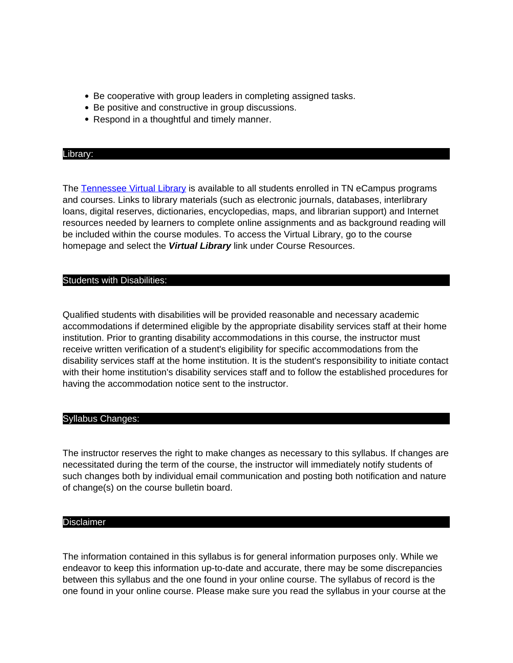- Be cooperative with group leaders in completing assigned tasks.
- Be positive and constructive in group discussions.
- Respond in a thoughtful and timely manner.

### Library:

The Tennessee Virtual Library is available to all students enrolled in TN eCampus programs and courses. Links to library materials (such as electronic journals, databases, interlibrary loans, digital reserves, dictionaries, encyclopedias, maps, and librarian support) and Internet resources needed by learners to complete online assignments and as background reading will be included within the course modules. To access the Virtual Library, go to the course homepage and select the **Virtual Library** link under Course Resources.

# Students with Disabilities:

Qualified students with disabilities will be provided reasonable and necessary academic accommodations if determined eligible by the appropriate disability services staff at their home institution. Prior to granting disability accommodations in this course, the instructor must receive written verification of a student's eligibility for specific accommodations from the disability services staff at the home institution. It is the student's responsibility to initiate contact with their home institution's disability services staff and to follow the established procedures for having the accommodation notice sent to the instructor.

# Syllabus Changes:

The instructor reserves the right to make changes as necessary to this syllabus. If changes are necessitated during the term of the course, the instructor will immediately notify students of such changes both by individual email communication and posting both notification and nature of change(s) on the course bulletin board.

# Disclaimer

The information contained in this syllabus is for general information purposes only. While we endeavor to keep this information up-to-date and accurate, there may be some discrepancies between this syllabus and the one found in your online course. The syllabus of record is the one found in your online course. Please make sure you read the syllabus in your course at the